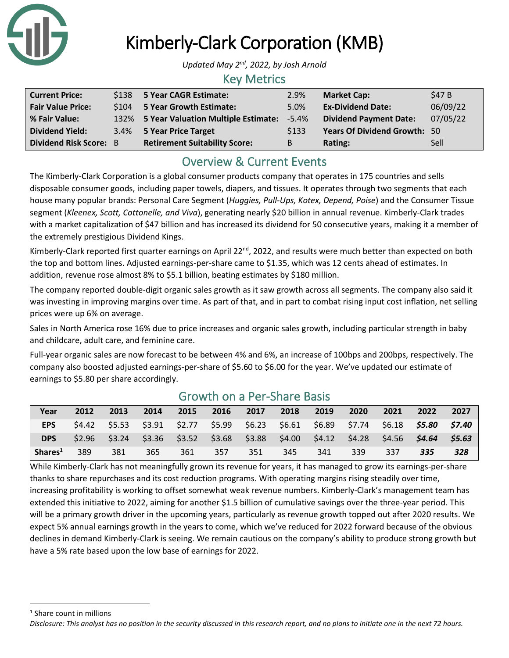

## Kimberly-Clark Corporation (KMB)

*Updated May 2nd, 2022, by Josh Arnold*

### Key Metrics

| <b>Current Price:</b>         | \$138 5 Year CAGR Estimate:              | 2.9%     | <b>Market Cap:</b>                  | \$47 B   |
|-------------------------------|------------------------------------------|----------|-------------------------------------|----------|
| <b>Fair Value Price:</b>      | \$104 5 Year Growth Estimate:            | 5.0%     | <b>Ex-Dividend Date:</b>            | 06/09/22 |
| % Fair Value:                 | 132% 5 Year Valuation Multiple Estimate: | $-5.4\%$ | <b>Dividend Payment Date:</b>       | 07/05/22 |
| <b>Dividend Yield:</b>        | 3.4% 5 Year Price Target                 | \$133    | <b>Years Of Dividend Growth: 50</b> |          |
| <b>Dividend Risk Score: B</b> | <b>Retirement Suitability Score:</b>     | B        | Rating:                             | Sell     |

## Overview & Current Events

The Kimberly-Clark Corporation is a global consumer products company that operates in 175 countries and sells disposable consumer goods, including paper towels, diapers, and tissues. It operates through two segments that each house many popular brands: Personal Care Segment (*Huggies, Pull-Ups, Kotex, Depend, Poise*) and the Consumer Tissue segment (*Kleenex, Scott, Cottonelle, and Viva*), generating nearly \$20 billion in annual revenue. Kimberly-Clark trades with a market capitalization of \$47 billion and has increased its dividend for 50 consecutive years, making it a member of the extremely prestigious Dividend Kings.

Kimberly-Clark reported first quarter earnings on April 22<sup>nd</sup>, 2022, and results were much better than expected on both the top and bottom lines. Adjusted earnings-per-share came to \$1.35, which was 12 cents ahead of estimates. In addition, revenue rose almost 8% to \$5.1 billion, beating estimates by \$180 million.

The company reported double-digit organic sales growth as it saw growth across all segments. The company also said it was investing in improving margins over time. As part of that, and in part to combat rising input cost inflation, net selling prices were up 6% on average.

Sales in North America rose 16% due to price increases and organic sales growth, including particular strength in baby and childcare, adult care, and feminine care.

Full-year organic sales are now forecast to be between 4% and 6%, an increase of 100bps and 200bps, respectively. The company also boosted adjusted earnings-per-share of \$5.60 to \$6.00 for the year. We've updated our estimate of earnings to \$5.80 per share accordingly.

| Year                | 2012   | 2013            | 2014                                                    | 2015 | 2016 | 2017 | 2018 | 2019 | 2020 | 2021 | 2022                                                                            | 2027 |
|---------------------|--------|-----------------|---------------------------------------------------------|------|------|------|------|------|------|------|---------------------------------------------------------------------------------|------|
| <b>EPS</b>          | \$4.42 |                 | \$5.53 \$3.91 \$2.77 \$5.99 \$6.23 \$6.61 \$6.89 \$7.74 |      |      |      |      |      |      |      |                                                                                 |      |
| <b>DPS</b>          |        | $$2.96$ $$3.24$ |                                                         |      |      |      |      |      |      |      | $$3.36$ $$3.52$ $$3.68$ $$3.88$ $$4.00$ $$4.12$ $$4.28$ $$4.56$ $$4.64$ $$5.63$ |      |
| Shares <sup>1</sup> | 389    | 381             | 365                                                     | 361  | 357  | 351  | 345  | 341  | 339  | 337  | 335                                                                             | 328  |

### Growth on a Per-Share Basis

While Kimberly-Clark has not meaningfully grown its revenue for years, it has managed to grow its earnings-per-share thanks to share repurchases and its cost reduction programs. With operating margins rising steadily over time, increasing profitability is working to offset somewhat weak revenue numbers. Kimberly-Clark's management team has extended this initiative to 2022, aiming for another \$1.5 billion of cumulative savings over the three-year period. This will be a primary growth driver in the upcoming years, particularly as revenue growth topped out after 2020 results. We expect 5% annual earnings growth in the years to come, which we've reduced for 2022 forward because of the obvious declines in demand Kimberly-Clark is seeing. We remain cautious on the company's ability to produce strong growth but have a 5% rate based upon the low base of earnings for 2022.

<sup>1</sup> Share count in millions

*Disclosure: This analyst has no position in the security discussed in this research report, and no plans to initiate one in the next 72 hours.*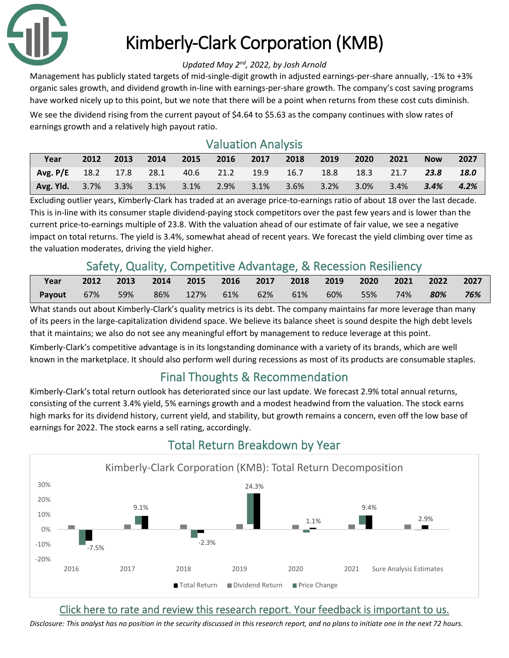

# Kimberly-Clark Corporation (KMB)

#### *Updated May 2nd, 2022, by Josh Arnold*

Management has publicly stated targets of mid-single-digit growth in adjusted earnings-per-share annually, -1% to +3% organic sales growth, and dividend growth in-line with earnings-per-share growth. The company's cost saving programs have worked nicely up to this point, but we note that there will be a point when returns from these cost cuts diminish. We see the dividend rising from the current payout of \$4.64 to \$5.63 as the company continues with slow rates of

earnings growth and a relatively high payout ratio.

## Valuation Analysis

| Year                                                                 | 2012 | 2013 2014 | 2015 2016 2017 2018 2019 |  | 2020 | $\sim$ 2021 | <b>Now</b> | 2027 |
|----------------------------------------------------------------------|------|-----------|--------------------------|--|------|-------------|------------|------|
| Avg. P/E 18.2 17.8 28.1 40.6 21.2 19.9 16.7 18.8 18.3 21.7 23.8 18.0 |      |           |                          |  |      |             |            |      |
| Avg. Yld. 3.7% 3.3% 3.1% 3.1% 2.9% 3.1% 3.6% 3.2% 3.0% 3.4% 3.4%     |      |           |                          |  |      |             |            | 4.2% |

Excluding outlier years, Kimberly-Clark has traded at an average price-to-earnings ratio of about 18 over the last decade. This is in-line with its consumer staple dividend-paying stock competitors over the past few years and is lower than the current price-to-earnings multiple of 23.8. With the valuation ahead of our estimate of fair value, we see a negative impact on total returns. The yield is 3.4%, somewhat ahead of recent years. We forecast the yield climbing over time as the valuation moderates, driving the yield higher.

## Safety, Quality, Competitive Advantage, & Recession Resiliency

| Year   | 2012 | 2013 | 2014 2015 2016 2017 2018 2019 2020 |  |  |          | 2021 2022 |     | 2027 |
|--------|------|------|------------------------------------|--|--|----------|-----------|-----|------|
| Payout | 67%  |      | 59% 86% 127% 61% 62% 61%           |  |  | 60%  55% | 74%       | 80% | 76%  |

What stands out about Kimberly-Clark's quality metrics is its debt. The company maintains far more leverage than many of its peers in the large-capitalization dividend space. We believe its balance sheet is sound despite the high debt levels that it maintains; we also do not see any meaningful effort by management to reduce leverage at this point.

Kimberly-Clark's competitive advantage is in its longstanding dominance with a variety of its brands, which are well known in the marketplace. It should also perform well during recessions as most of its products are consumable staples.

## Final Thoughts & Recommendation

Kimberly-Clark's total return outlook has deteriorated since our last update. We forecast 2.9% total annual returns, consisting of the current 3.4% yield, 5% earnings growth and a modest headwind from the valuation. The stock earns high marks for its dividend history, current yield, and stability, but growth remains a concern, even off the low base of earnings for 2022. The stock earns a sell rating, accordingly.



## Total Return Breakdown by Year

### [Click here to rate and review this research report. Your feedback is important to us.](https://suredividend.typeform.com/to/e7Q96E)

*Disclosure: This analyst has no position in the security discussed in this research report, and no plans to initiate one in the next 72 hours.*